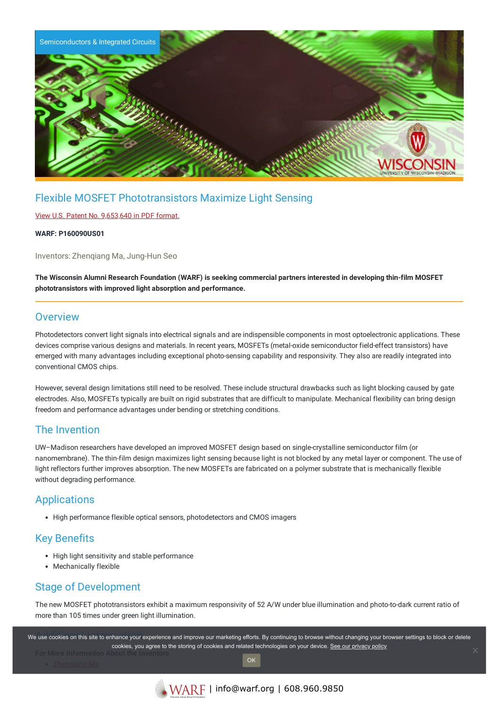

# Flexible MOSFET Phototransistors Maximize Light Sensing

#### View U.S. Patent No. [9,653,640](https://www.warf.org/wp-content/uploads/technologies/ipstatus/P160090US01.pdf) in PDF format.

#### **WARF: P160090US01**

Inventors: Zhenqiang Ma, Jung-Hun Seo

The Wisconsin Alumni Research Foundation (WARF) is seeking commercial partners interested in developing thin-film MOSFET **phototransistors with improved light absorption and performance.**

#### **Overview**

Photodetectors convert light signals into electrical signals and are indispensible components in most optoelectronic applications. These devices comprise various designs and materials. In recent years, MOSFETs (metal-oxide semiconductor field-effect transistors) have emerged with many advantages including exceptional photo-sensing capability and responsivity. They also are readily integrated into conventional CMOS chips.

However, several design limitations still need to be resolved. These include structural drawbacks such as light blocking caused by gate electrodes. Also, MOSFETs typically are built on rigid substrates that are difficult to manipulate. Mechanical flexibility can bring design freedom and performance advantages under bending or stretching conditions.

## The Invention

UW–Madison researchers have developed an improved MOSFET design based on single-crystalline semiconductor film (or nanomembrane). The thin-film design maximizes light sensing because light is not blocked by any metal layer or component. The use of light reflectors further improves absorption. The new MOSFETs are fabricated on a polymer substrate that is mechanically flexible without degrading performance.

# **Applications**

• High performance flexible optical sensors, photodetectors and CMOS imagers

## Key Benefits

- High light sensitivity and stable performance
- Mechanically flexible

### Stage of Development

The new MOSFET phototransistors exhibit a maximum responsivity of 52 A/W under blue illumination and photo-to-dark current ratio of more than 105 times under green light illumination.

.<br>We use cookies on this site to enhance your experience and improve our marketing efforts. By continuing to browse without changing your browser settings to block or delete cookies, you agree to the storing of cookies and related technologies on your device. [See our privacy policy](https://www.warf.org/privacy-policy/) **OK**